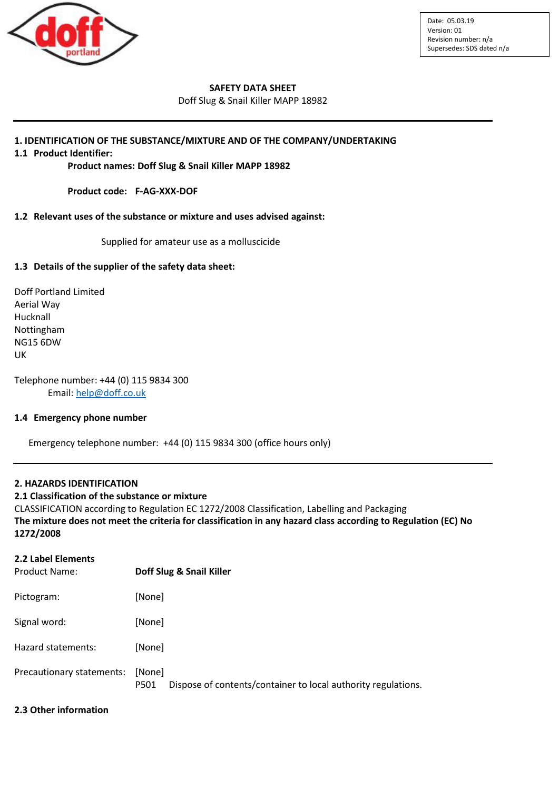

### **SAFETY DATA SHEET**

Doff Slug & Snail Killer MAPP 18982

## **1. IDENTIFICATION OF THE SUBSTANCE/MIXTURE AND OF THE COMPANY/UNDERTAKING**

**1.1 Product Identifier:**

**Product names: Doff Slug & Snail Killer MAPP 18982**

**Product code: F-AG-XXX-DOF**

#### **1.2 Relevant uses of the substance or mixture and uses advised against:**

Supplied for amateur use as a molluscicide

## **1.3 Details of the supplier of the safety data sheet:**

Doff Portland Limited Aerial Way Hucknall Nottingham NG15 6DW UK

Telephone number: +44 (0) 115 9834 300 Email: [help@doff.co.uk](mailto:help@doff.co.uk)

#### **1.4 Emergency phone number**

Emergency telephone number: +44 (0) 115 9834 300 (office hours only)

## **2. HAZARDS IDENTIFICATION**

#### **2.1 Classification of the substance or mixture**

CLASSIFICATION according to Regulation EC 1272/2008 Classification, Labelling and Packaging **The mixture does not meet the criteria for classification in any hazard class according to Regulation (EC) No 1272/2008**

# **2.2 Label Elements** Product Name: **Doff Slug & Snail Killer** Pictogram: [None] Signal word: [None] Hazard statements: [None] Precautionary statements: [None] P501 Dispose of contents/container to local authority regulations.

#### **2.3 Other information**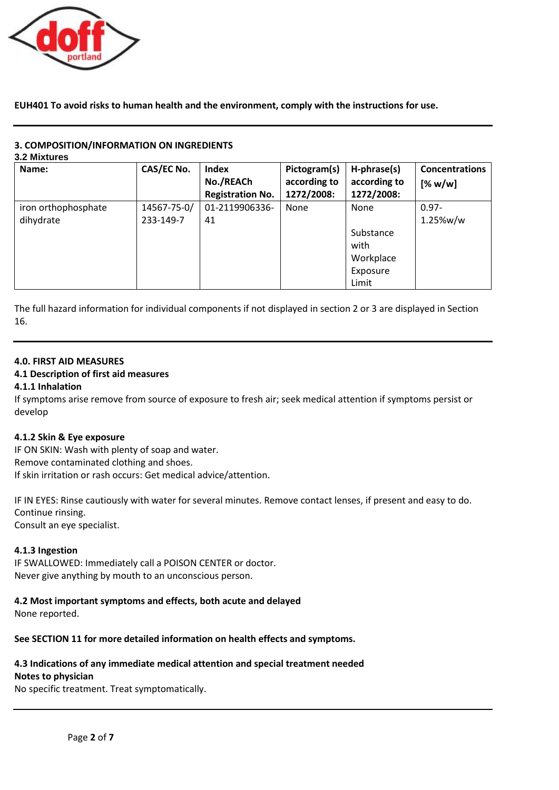

**EUH401 To avoid risks to human health and the environment, comply with the instructions for use.**

# **3. COMPOSITION/INFORMATION ON INGREDIENTS**

**3.2 Mixtures**

| Name:               | CAS/EC No.  | <b>Index</b>            | Pictogram(s) | H-phrase(s)  | <b>Concentrations</b> |
|---------------------|-------------|-------------------------|--------------|--------------|-----------------------|
|                     |             | No./REACh               | according to | according to | [% w/w]               |
|                     |             | <b>Registration No.</b> | 1272/2008:   | 1272/2008:   |                       |
| iron orthophosphate | 14567-75-0/ | 01-2119906336-          | None         | None         | $0.97 -$              |
| dihydrate           | 233-149-7   | 41                      |              |              | 1.25%w/w              |
|                     |             |                         |              | Substance    |                       |
|                     |             |                         |              | with         |                       |
|                     |             |                         |              | Workplace    |                       |
|                     |             |                         |              | Exposure     |                       |
|                     |             |                         |              | Limit        |                       |

The full hazard information for individual components if not displayed in section 2 or 3 are displayed in Section 16.

# **4.0. FIRST AID MEASURES**

# **4.1 Description of first aid measures**

## **4.1.1 Inhalation**

If symptoms arise remove from source of exposure to fresh air; seek medical attention if symptoms persist or develop

## **4.1.2 Skin & Eye exposure**

IF ON SKIN: Wash with plenty of soap and water. Remove contaminated clothing and shoes. If skin irritation or rash occurs: Get medical advice/attention.

IF IN EYES: Rinse cautiously with water for several minutes. Remove contact lenses, if present and easy to do. Continue rinsing. Consult an eye specialist.

## **4.1.3 Ingestion**

IF SWALLOWED: Immediately call a POISON CENTER or doctor. Never give anything by mouth to an unconscious person.

# **4.2 Most important symptoms and effects, both acute and delayed**

None reported.

**See SECTION 11 for more detailed information on health effects and symptoms.**

# **4.3 Indications of any immediate medical attention and special treatment needed**

# **Notes to physician**

No specific treatment. Treat symptomatically.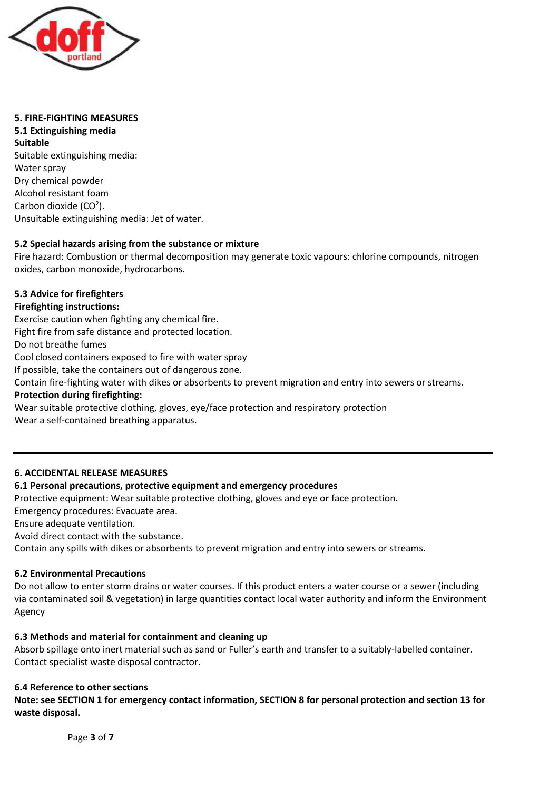

#### **5. FIRE-FIGHTING MEASURES 5.1 Extinguishing media**

**Suitable** Suitable extinguishing media: Water spray Dry chemical powder Alcohol resistant foam Carbon dioxide (CO<sup>2</sup>). Unsuitable extinguishing media: Jet of water.

# **5.2 Special hazards arising from the substance or mixture**

Fire hazard: Combustion or thermal decomposition may generate toxic vapours: chlorine compounds, nitrogen oxides, carbon monoxide, hydrocarbons.

# **5.3 Advice for firefighters**

# **Firefighting instructions:**

Exercise caution when fighting any chemical fire.

Fight fire from safe distance and protected location.

Do not breathe fumes

Cool closed containers exposed to fire with water spray

If possible, take the containers out of dangerous zone.

Contain fire-fighting water with dikes or absorbents to prevent migration and entry into sewers or streams.

# **Protection during firefighting:**

Wear suitable protective clothing, gloves, eye/face protection and respiratory protection Wear a self-contained breathing apparatus.

# **6. ACCIDENTAL RELEASE MEASURES**

# **6.1 Personal precautions, protective equipment and emergency procedures**

Protective equipment: Wear suitable protective clothing, gloves and eye or face protection.

Emergency procedures: Evacuate area.

Ensure adequate ventilation.

Avoid direct contact with the substance.

Contain any spills with dikes or absorbents to prevent migration and entry into sewers or streams.

# **6.2 Environmental Precautions**

Do not allow to enter storm drains or water courses. If this product enters a water course or a sewer (including via contaminated soil & vegetation) in large quantities contact local water authority and inform the Environment Agency

# **6.3 Methods and material for containment and cleaning up**

Absorb spillage onto inert material such as sand or Fuller's earth and transfer to a suitably-labelled container. Contact specialist waste disposal contractor.

# **6.4 Reference to other sections**

**Note: see SECTION 1 for emergency contact information, SECTION 8 for personal protection and section 13 for waste disposal.**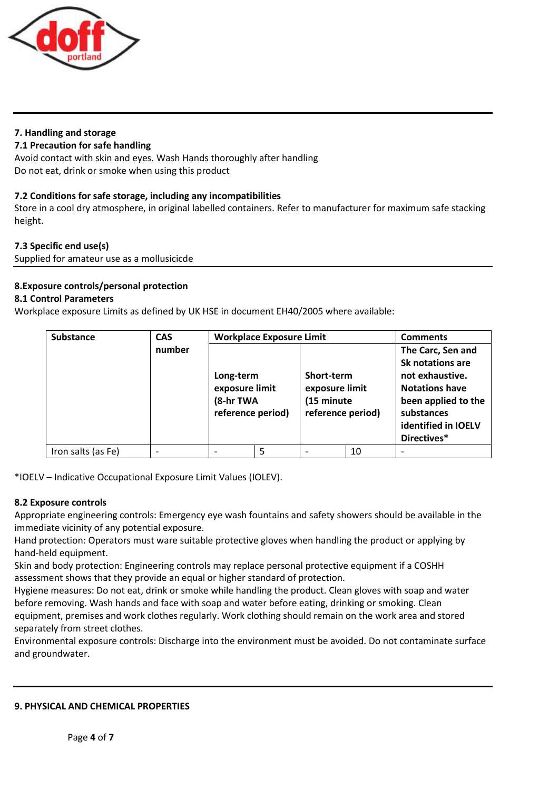

# **7. Handling and storage**

## **7.1 Precaution for safe handling**

Avoid contact with skin and eyes. Wash Hands thoroughly after handling Do not eat, drink or smoke when using this product

# **7.2 Conditions for safe storage, including any incompatibilities**

Store in a cool dry atmosphere, in original labelled containers. Refer to manufacturer for maximum safe stacking height.

# **7.3 Specific end use(s)**

Supplied for amateur use as a mollusicicde

# **8.Exposure controls/personal protection**

# **8.1 Control Parameters**

Workplace exposure Limits as defined by UK HSE in document EH40/2005 where available:

| <b>Substance</b>   | <b>CAS</b> | <b>Workplace Exposure Limit</b>                               |   |                                                                 | <b>Comments</b> |                                                                                                                                                              |
|--------------------|------------|---------------------------------------------------------------|---|-----------------------------------------------------------------|-----------------|--------------------------------------------------------------------------------------------------------------------------------------------------------------|
|                    | number     | Long-term<br>exposure limit<br>(8-hr TWA<br>reference period) |   | Short-term<br>exposure limit<br>(15 minute<br>reference period) |                 | The Carc, Sen and<br>Sk notations are<br>not exhaustive.<br><b>Notations have</b><br>been applied to the<br>substances<br>identified in IOELV<br>Directives* |
| Iron salts (as Fe) |            |                                                               | 5 |                                                                 | 10              |                                                                                                                                                              |

\*IOELV – Indicative Occupational Exposure Limit Values (IOLEV).

## **8.2 Exposure controls**

Appropriate engineering controls: Emergency eye wash fountains and safety showers should be available in the immediate vicinity of any potential exposure.

Hand protection: Operators must ware suitable protective gloves when handling the product or applying by hand-held equipment.

Skin and body protection: Engineering controls may replace personal protective equipment if a COSHH assessment shows that they provide an equal or higher standard of protection.

Hygiene measures: Do not eat, drink or smoke while handling the product. Clean gloves with soap and water before removing. Wash hands and face with soap and water before eating, drinking or smoking. Clean equipment, premises and work clothes regularly. Work clothing should remain on the work area and stored separately from street clothes.

Environmental exposure controls: Discharge into the environment must be avoided. Do not contaminate surface and groundwater.

## **9. PHYSICAL AND CHEMICAL PROPERTIES**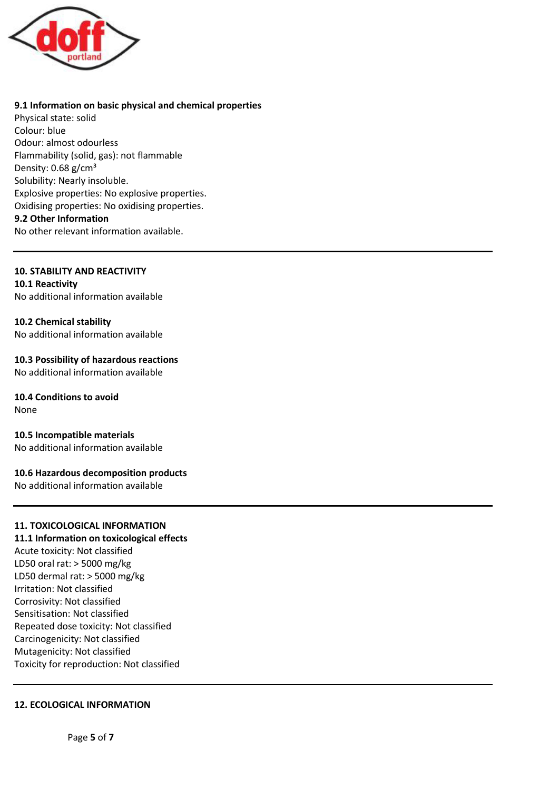

## **9.1 Information on basic physical and chemical properties**

Physical state: solid Colour: blue Odour: almost odourless Flammability (solid, gas): not flammable Density:  $0.68$  g/cm<sup>3</sup> Solubility: Nearly insoluble. Explosive properties: No explosive properties. Oxidising properties: No oxidising properties. **9.2 Other Information**

No other relevant information available.

## **10. STABILITY AND REACTIVITY**

**10.1 Reactivity** No additional information available

## **10.2 Chemical stability**

No additional information available

**10.3 Possibility of hazardous reactions** No additional information available

# **10.4 Conditions to avoid**

None

**10.5 Incompatible materials** No additional information available

## **10.6 Hazardous decomposition products**

No additional information available

# **11. TOXICOLOGICAL INFORMATION**

**11.1 Information on toxicological effects**

Acute toxicity: Not classified LD50 oral rat: > 5000 mg/kg LD50 dermal rat: > 5000 mg/kg Irritation: Not classified Corrosivity: Not classified Sensitisation: Not classified Repeated dose toxicity: Not classified Carcinogenicity: Not classified Mutagenicity: Not classified Toxicity for reproduction: Not classified

## **12. ECOLOGICAL INFORMATION**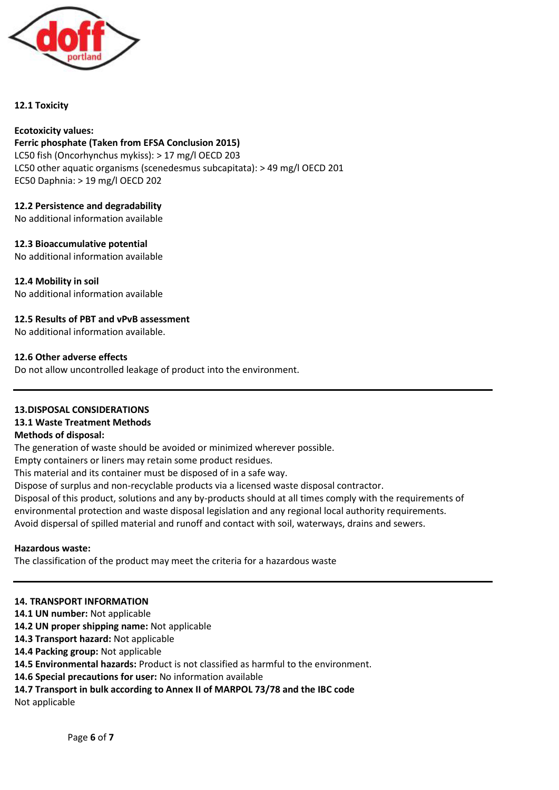

## **12.1 Toxicity**

#### **Ecotoxicity values: Ferric phosphate (Taken from EFSA Conclusion 2015)**

LC50 fish (Oncorhynchus mykiss): > 17 mg/l OECD 203 LC50 other aquatic organisms (scenedesmus subcapitata): > 49 mg/l OECD 201 EC50 Daphnia: > 19 mg/l OECD 202

# **12.2 Persistence and degradability**

No additional information available

**12.3 Bioaccumulative potential** No additional information available

**12.4 Mobility in soil** No additional information available

# **12.5 Results of PBT and vPvB assessment**

No additional information available.

## **12.6 Other adverse effects**

Do not allow uncontrolled leakage of product into the environment.

**13.DISPOSAL CONSIDERATIONS 13.1 Waste Treatment Methods Methods of disposal:**

The generation of waste should be avoided or minimized wherever possible.

Empty containers or liners may retain some product residues.

This material and its container must be disposed of in a safe way.

Dispose of surplus and non-recyclable products via a licensed waste disposal contractor.

Disposal of this product, solutions and any by-products should at all times comply with the requirements of environmental protection and waste disposal legislation and any regional local authority requirements. Avoid dispersal of spilled material and runoff and contact with soil, waterways, drains and sewers.

**Hazardous waste:**

The classification of the product may meet the criteria for a hazardous waste

## **14. TRANSPORT INFORMATION**

- 14.1 UN number: Not applicable
- **14.2 UN proper shipping name:** Not applicable
- **14.3 Transport hazard:** Not applicable
- **14.4 Packing group:** Not applicable
- **14.5 Environmental hazards:** Product is not classified as harmful to the environment.
- **14.6 Special precautions for user:** No information available

# **14.7 Transport in bulk according to Annex II of MARPOL 73/78 and the IBC code**

Not applicable